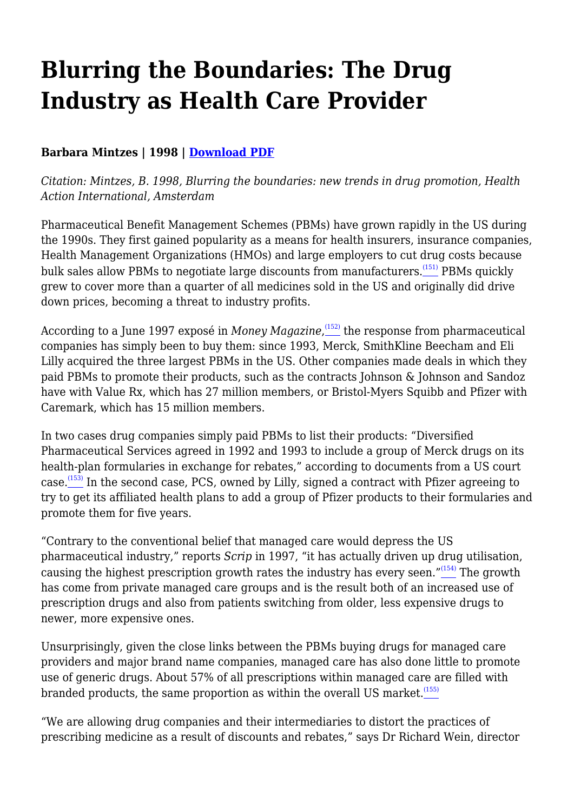# **Blurring the Boundaries: The Drug Industry as Health Care Provider**

## **Barbara Mintzes | 1998 | [Download PDF](https://haiweb.org/wp-content/uploads/2020/10/Blurring-the-Boundaries-Ch4.pdf)**

*Citation: Mintzes, B. 1998, Blurring the boundaries: new trends in drug promotion, Health Action International, Amsterdam*

Pharmaceutical Benefit Management Schemes (PBMs) have grown rapidly in the US during the 1990s. They first gained popularity as a means for health insurers, insurance companies, Health Management Organizations (HMOs) and large employers to cut drug costs because bulk sales allow PBMs to negotiate large discounts from manufacturers.<sup>[\(151\)](file:///C:/Users/Dimity/HAI/HAI%20-%20Documenten/Website/HAI/www/old_www/old/pubs/blurring/blurring.ch4.html#(151))</sup> PBMs quickly grew to cover more than a quarter of all medicines sold in the US and originally did drive down prices, becoming a threat to industry profits.

According to a June 1997 exposé in *Money Magazine,* $\stackrel{(152)}{=}$  $\stackrel{(152)}{=}$  $\stackrel{(152)}{=}$  the response from pharmaceutical companies has simply been to buy them: since 1993, Merck, SmithKline Beecham and Eli Lilly acquired the three largest PBMs in the US. Other companies made deals in which they paid PBMs to promote their products, such as the contracts Johnson & Johnson and Sandoz have with Value Rx, which has 27 million members, or Bristol-Myers Squibb and Pfizer with Caremark, which has 15 million members.

In two cases drug companies simply paid PBMs to list their products: "Diversified Pharmaceutical Services agreed in 1992 and 1993 to include a group of Merck drugs on its health-plan formularies in exchange for rebates," according to documents from a US court case.<sup>[\(153\)](file:///C:/Users/Dimity/HAI/HAI%20-%20Documenten/Website/HAI/www/old_www/old/pubs/blurring/blurring.ch4.html#N_153_)</sup> In the second case, PCS, owned by Lilly, signed a contract with Pfizer agreeing to try to get its affiliated health plans to add a group of Pfizer products to their formularies and promote them for five years.

"Contrary to the conventional belief that managed care would depress the US pharmaceutical industry," reports *Scrip* in 1997, "it has actually driven up drug utilisation, causing the highest prescription growth rates the industry has every seen."<sup>[\(154\)](file:///C:/Users/Dimity/HAI/HAI%20-%20Documenten/Website/HAI/www/old_www/old/pubs/blurring/blurring.ch4.html#N_154_)</sup> The growth has come from private managed care groups and is the result both of an increased use of prescription drugs and also from patients switching from older, less expensive drugs to newer, more expensive ones.

Unsurprisingly, given the close links between the PBMs buying drugs for managed care providers and major brand name companies, managed care has also done little to promote use of generic drugs. About 57% of all prescriptions within managed care are filled with branded products, the same proportion as within the overall US market. $(155)$ 

"We are allowing drug companies and their intermediaries to distort the practices of prescribing medicine as a result of discounts and rebates," says Dr Richard Wein, director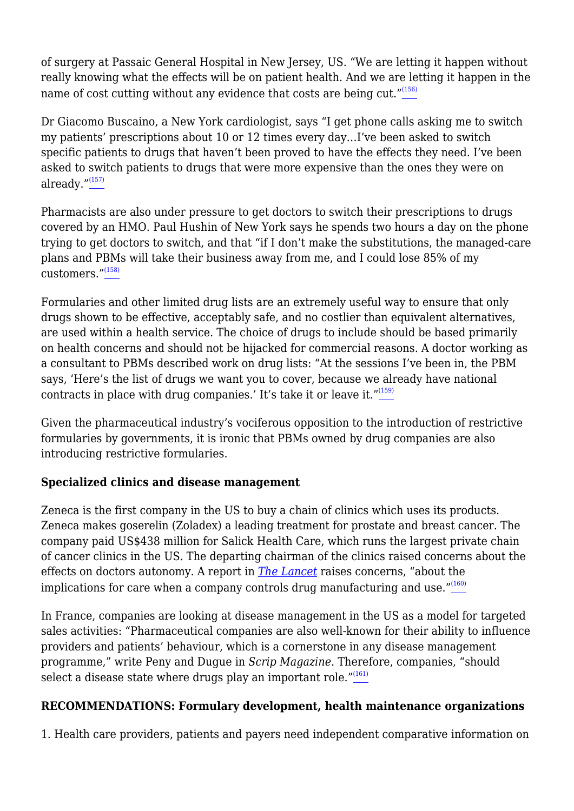of surgery at Passaic General Hospital in New Jersey, US. "We are letting it happen without really knowing what the effects will be on patient health. And we are letting it happen in the name of cost cutting without any evidence that costs are being cut."<sup>[\(156\)](file:///C:/Users/Dimity/HAI/HAI%20-%20Documenten/Website/HAI/www/old_www/old/pubs/blurring/blurring.ch4.html#N_156_)</sup>

Dr Giacomo Buscaino, a New York cardiologist, says "I get phone calls asking me to switch my patients' prescriptions about 10 or 12 times every day…I've been asked to switch specific patients to drugs that haven't been proved to have the effects they need. I've been asked to switch patients to drugs that were more expensive than the ones they were on already. $\frac{m(157)}{2}$  $\frac{m(157)}{2}$  $\frac{m(157)}{2}$ 

Pharmacists are also under pressure to get doctors to switch their prescriptions to drugs covered by an HMO. Paul Hushin of New York says he spends two hours a day on the phone trying to get doctors to switch, and that "if I don't make the substitutions, the managed-care plans and PBMs will take their business away from me, and I could lose 85% of my  $\frac{1}{\text{customers}}$ ."<sup>[\(158\)](file:///C:/Users/Dimity/HAI/HAI%20-%20Documenten/Website/HAI/www/old_www/old/pubs/blurring/blurring.ch4.html#N_158_)</sup>

Formularies and other limited drug lists are an extremely useful way to ensure that only drugs shown to be effective, acceptably safe, and no costlier than equivalent alternatives, are used within a health service. The choice of drugs to include should be based primarily on health concerns and should not be hijacked for commercial reasons. A doctor working as a consultant to PBMs described work on drug lists: "At the sessions I've been in, the PBM says, 'Here's the list of drugs we want you to cover, because we already have national contracts in place with drug companies.' It's take it or leave it." $(159)$ 

Given the pharmaceutical industry's vociferous opposition to the introduction of restrictive formularies by governments, it is ironic that PBMs owned by drug companies are also introducing restrictive formularies.

#### **Specialized clinics and disease management**

Zeneca is the first company in the US to buy a chain of clinics which uses its products. Zeneca makes goserelin (Zoladex) a leading treatment for prostate and breast cancer. The company paid US\$438 million for Salick Health Care, which runs the largest private chain of cancer clinics in the US. The departing chairman of the clinics raised concerns about the effects on doctors autonomy. A report in *[The](http://www.thelancet.com) [Lancet](http://www.thelancet.com)* raises concerns, "about the implications for care when a company controls drug manufacturing and use. $\frac{160}{160}$ 

In France, companies are looking at disease management in the US as a model for targeted sales activities: "Pharmaceutical companies are also well-known for their ability to influence providers and patients' behaviour, which is a cornerstone in any disease management programme," write Peny and Dugue in *Scrip Magazine*. Therefore, companies, "should select a disease state where drugs play an important role. $^{\prime\prime(161)}$  $^{\prime\prime(161)}$  $^{\prime\prime(161)}$ 

#### **RECOMMENDATIONS: Formulary development, health maintenance organizations**

1. Health care providers, patients and payers need independent comparative information on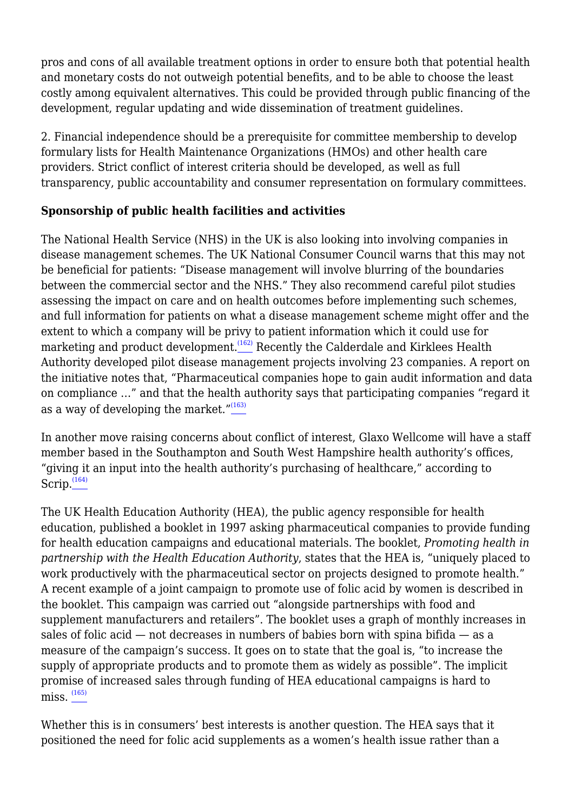pros and cons of all available treatment options in order to ensure both that potential health and monetary costs do not outweigh potential benefits, and to be able to choose the least costly among equivalent alternatives. This could be provided through public financing of the development, regular updating and wide dissemination of treatment guidelines.

2. Financial independence should be a prerequisite for committee membership to develop formulary lists for Health Maintenance Organizations (HMOs) and other health care providers. Strict conflict of interest criteria should be developed, as well as full transparency, public accountability and consumer representation on formulary committees.

## **Sponsorship of public health facilities and activities**

The National Health Service (NHS) in the UK is also looking into involving companies in disease management schemes. The UK National Consumer Council warns that this may not be beneficial for patients: "Disease management will involve blurring of the boundaries between the commercial sector and the NHS." They also recommend careful pilot studies assessing the impact on care and on health outcomes before implementing such schemes, and full information for patients on what a disease management scheme might offer and the extent to which a company will be privy to patient information which it could use for marketing and product development.<sup>[\(162\)](file:///C:/Users/Dimity/HAI/HAI%20-%20Documenten/Website/HAI/www/old_www/old/pubs/blurring/blurring.ch4.html#N_162_)</sup> Recently the Calderdale and Kirklees Health Authority developed pilot disease management projects involving 23 companies. A report on the initiative notes that, "Pharmaceutical companies hope to gain audit information and data on compliance …" and that the health authority says that participating companies "regard it as a way of developing the market."[\(163\)](file:///C:/Users/Dimity/HAI/HAI%20-%20Documenten/Website/HAI/www/old_www/old/pubs/blurring/blurring.ch4.html#N_163_)

In another move raising concerns about conflict of interest, Glaxo Wellcome will have a staff member based in the Southampton and South West Hampshire health authority's offices, "giving it an input into the health authority's purchasing of healthcare," according to Scrip. $(164)$ 

The UK Health Education Authority (HEA), the public agency responsible for health education, published a booklet in 1997 asking pharmaceutical companies to provide funding for health education campaigns and educational materials. The booklet, *Promoting health in partnership with the Health Education Authority*, states that the HEA is, "uniquely placed to work productively with the pharmaceutical sector on projects designed to promote health." A recent example of a joint campaign to promote use of folic acid by women is described in the booklet. This campaign was carried out "alongside partnerships with food and supplement manufacturers and retailers". The booklet uses a graph of monthly increases in sales of folic acid — not decreases in numbers of babies born with spina bifida — as a measure of the campaign's success. It goes on to state that the goal is, "to increase the supply of appropriate products and to promote them as widely as possible". The implicit promise of increased sales through funding of HEA educational campaigns is hard to  $miss.$ <sup> $(165)$ </sup>

Whether this is in consumers' best interests is another question. The HEA says that it positioned the need for folic acid supplements as a women's health issue rather than a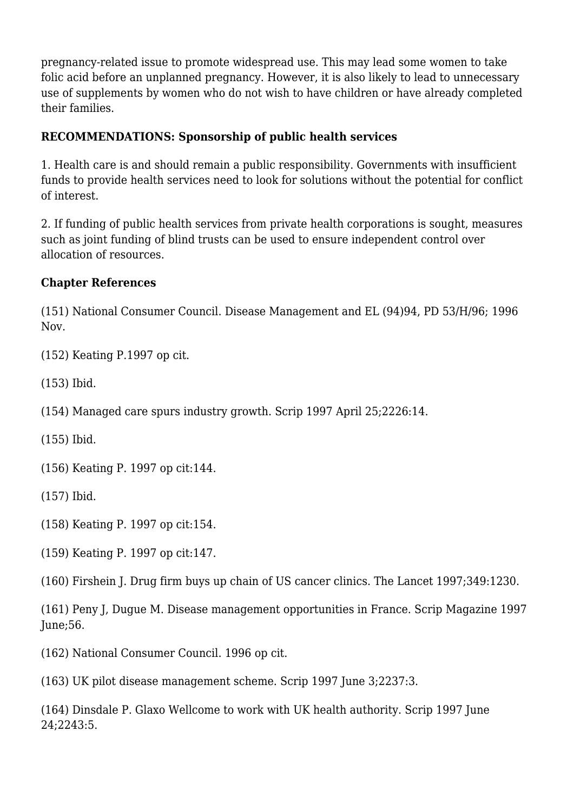pregnancy-related issue to promote widespread use. This may lead some women to take folic acid before an unplanned pregnancy. However, it is also likely to lead to unnecessary use of supplements by women who do not wish to have children or have already completed their families.

#### **RECOMMENDATIONS: Sponsorship of public health services**

1. Health care is and should remain a public responsibility. Governments with insufficient funds to provide health services need to look for solutions without the potential for conflict of interest.

2. If funding of public health services from private health corporations is sought, measures such as joint funding of blind trusts can be used to ensure independent control over allocation of resources.

#### **Chapter References**

(151) National Consumer Council. Disease Management and EL (94)94, PD 53/H/96; 1996 Nov.

(152) Keating P.1997 op cit.

(153) Ibid.

(154) Managed care spurs industry growth. Scrip 1997 April 25;2226:14.

(155) Ibid.

(156) Keating P. 1997 op cit:144.

(157) Ibid.

(158) Keating P. 1997 op cit:154.

(159) Keating P. 1997 op cit:147.

(160) Firshein J. Drug firm buys up chain of US cancer clinics. The Lancet 1997;349:1230.

(161) Peny J, Dugue M. Disease management opportunities in France. Scrip Magazine 1997 June;56.

(162) National Consumer Council. 1996 op cit.

(163) UK pilot disease management scheme. Scrip 1997 June 3;2237:3.

(164) Dinsdale P. Glaxo Wellcome to work with UK health authority. Scrip 1997 June 24;2243:5.